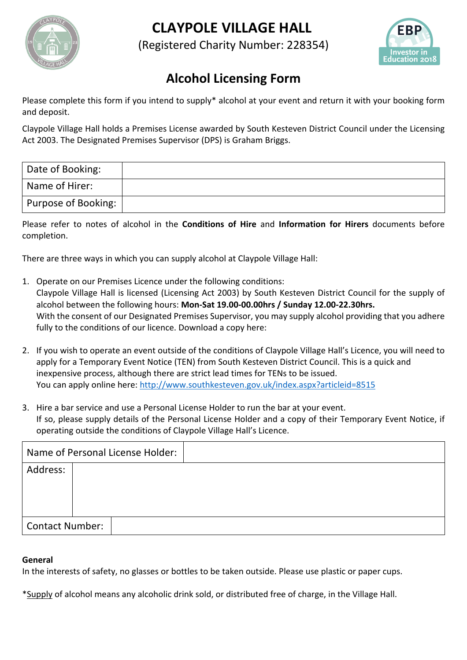



(Registered Charity Number: 228354)



## **Alcohol Licensing Form**

Please complete this form if you intend to supply\* alcohol at your event and return it with your booking form and deposit.

Claypole Village Hall holds a Premises License awarded by South Kesteven District Council under the Licensing Act 2003. The Designated Premises Supervisor (DPS) is Graham Briggs.

| Date of Booking:    |  |
|---------------------|--|
| Name of Hirer:      |  |
| Purpose of Booking: |  |

Please refer to notes of alcohol in the **Conditions of Hire** and **Information for Hirers** documents before completion.

There are three ways in which you can supply alcohol at Claypole Village Hall:

- 1. Operate on our Premises Licence under the following conditions: Claypole Village Hall is licensed (Licensing Act 2003) by South Kesteven District Council for the supply of alcohol between the following hours: **Mon-Sat 19.00-00.00hrs / Sunday 12.00-22.30hrs.** With the consent of our Designated Premises Supervisor, you may supply alcohol providing that you adhere fully to the conditions of our licence. Download a copy here:
- 2. If you wish to operate an event outside of the conditions of Claypole Village Hall's Licence, you will need to apply for a Temporary Event Notice (TEN) from South Kesteven District Council. This is a quick and inexpensive process, although there are strict lead times for TENs to be issued. You can apply online here: http://www.southkesteven.gov.uk/index.aspx?articleid=8515
- 3. Hire a bar service and use a Personal License Holder to run the bar at your event. If so, please supply details of the Personal License Holder and a copy of their Temporary Event Notice, if operating outside the conditions of Claypole Village Hall's Licence.

|                        | Name of Personal License Holder: |
|------------------------|----------------------------------|
| Address:               |                                  |
| <b>Contact Number:</b> |                                  |

## **General**

In the interests of safety, no glasses or bottles to be taken outside. Please use plastic or paper cups.

\*Supply of alcohol means any alcoholic drink sold, or distributed free of charge, in the Village Hall.